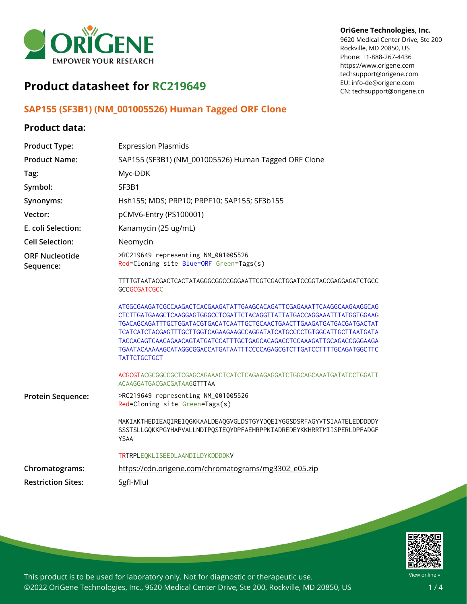

#### **OriGene Technologies, Inc.**

9620 Medical Center Drive, Ste 200 Rockville, MD 20850, US Phone: +1-888-267-4436 https://www.origene.com techsupport@origene.com EU: info-de@origene.com CN: techsupport@origene.cn

# **Product datasheet for RC219649**

### **SAP155 (SF3B1) (NM\_001005526) Human Tagged ORF Clone**

### **Product data:**

| <b>Product Type:</b>               | <b>Expression Plasmids</b>                                                                                                                                                                                                                                                                                                                                                                                                                                                      |
|------------------------------------|---------------------------------------------------------------------------------------------------------------------------------------------------------------------------------------------------------------------------------------------------------------------------------------------------------------------------------------------------------------------------------------------------------------------------------------------------------------------------------|
| <b>Product Name:</b>               | SAP155 (SF3B1) (NM_001005526) Human Tagged ORF Clone                                                                                                                                                                                                                                                                                                                                                                                                                            |
| Tag:                               | Myc-DDK                                                                                                                                                                                                                                                                                                                                                                                                                                                                         |
| Symbol:                            | SF3B1                                                                                                                                                                                                                                                                                                                                                                                                                                                                           |
| Synonyms:                          | Hsh155; MDS; PRP10; PRPF10; SAP155; SF3b155                                                                                                                                                                                                                                                                                                                                                                                                                                     |
| Vector:                            | pCMV6-Entry (PS100001)                                                                                                                                                                                                                                                                                                                                                                                                                                                          |
| E. coli Selection:                 | Kanamycin (25 ug/mL)                                                                                                                                                                                                                                                                                                                                                                                                                                                            |
| <b>Cell Selection:</b>             | Neomycin                                                                                                                                                                                                                                                                                                                                                                                                                                                                        |
| <b>ORF Nucleotide</b><br>Sequence: | >RC219649 representing NM_001005526<br>Red=Cloning site Blue=ORF Green=Tags(s)                                                                                                                                                                                                                                                                                                                                                                                                  |
|                                    | TTTTGTAATACGACTCACTATAGGGCGGCCGGGAATTCGTCGACTGGATCCGGTACCGAGGAGATCTGCC<br><b>GCCGCGATCGCC</b>                                                                                                                                                                                                                                                                                                                                                                                   |
|                                    | ATGGCGAAGATCGCCAAGACTCACGAAGATATTGAAGCACAGATTCGAGAAATTCAAGGCAAGAAGGCAG<br>CTCTTGATGAAGCTCAAGGAGTGGGCCTCGATTCTACAGGTTATTATGACCAGGAAATTTATGGTGGAAG<br>TGACAGCAGATTTGCTGGATACGTGACATCAATTGCTGCAACTGAACTTGAAGATGATGACGATGACTAT<br>TCATCATCTACGAGTTTGCTTGGTCAGAAGAAGCCAGGATATCATGCCCCTGTGGCATTGCTTAATGATA<br>TACCACAGTCAACAGAACAGTATGATCCATTTGCTGAGCACAGACCTCCAAAGATTGCAGACCGGGAAGA<br>TGAATACAAAAAGCATAGGCGGACCATGATAATTTCCCCAGAGCGTCTTGATCCTTTTGCAGATGGCTTC<br><b>TATTCTGCTGCT</b> |
|                                    | ACGCGTACGCGGCCGCTCGAGCAGAAACTCATCTCAGAAGAGGATCTGGCAGCAAATGATATCCTGGATT<br>ACAAGGATGACGACGATAAGGTTTAA                                                                                                                                                                                                                                                                                                                                                                            |
| Protein Sequence:                  | >RC219649 representing NM_001005526<br>Red=Cloning site Green=Tags(s)                                                                                                                                                                                                                                                                                                                                                                                                           |
|                                    | MAKIAKTHEDIEAQIREIQGKKAALDEAQGVGLDSTGYYDQEIYGGSDSRFAGYVTSIAATELEDDDDDY<br>SSSTSLLGQKKPGYHAPVALLNDIPQSTEQYDPFAEHRPPKIADREDEYKKHRRTMIISPERLDPFADGF<br>YSAA                                                                                                                                                                                                                                                                                                                        |
|                                    | TRTRPLEQKLISEEDLAANDILDYKDDDDKV                                                                                                                                                                                                                                                                                                                                                                                                                                                 |
| Chromatograms:                     | https://cdn.origene.com/chromatograms/mg3302_e05.zip                                                                                                                                                                                                                                                                                                                                                                                                                            |
| <b>Restriction Sites:</b>          | SgfI-Mlul                                                                                                                                                                                                                                                                                                                                                                                                                                                                       |



This product is to be used for laboratory only. Not for diagnostic or therapeutic use. ©2022 OriGene Technologies, Inc., 9620 Medical Center Drive, Ste 200, Rockville, MD 20850, US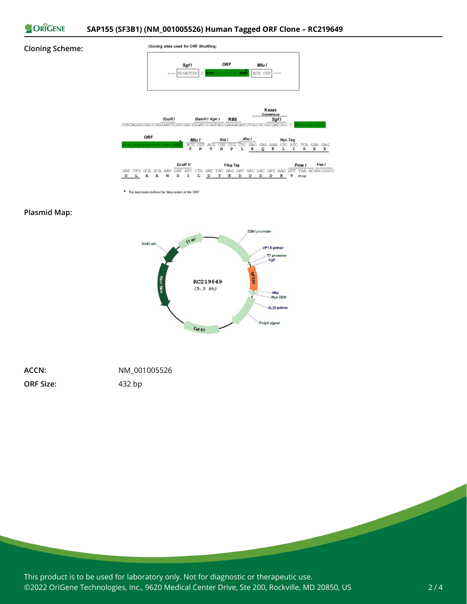

#### **Cloning Scheme:**



\* The last codon before the Stop codon of the ORF

### **Plasmid Map:**



| ACCN:            | NM 001005526 |
|------------------|--------------|
| <b>ORF Size:</b> | 432 bp       |

This product is to be used for laboratory only. Not for diagnostic or therapeutic use. ©2022 OriGene Technologies, Inc., 9620 Medical Center Drive, Ste 200, Rockville, MD 20850, US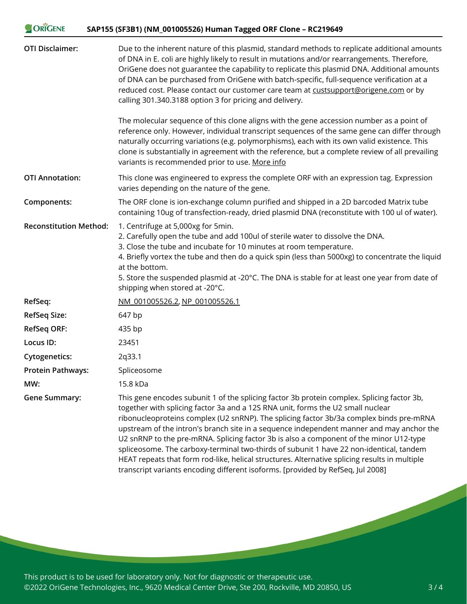| ORIGENE                       | SAP155 (SF3B1) (NM_001005526) Human Tagged ORF Clone - RC219649                                                                                                                                                                                                                                                                                                                                                                                                                                                                                                                                                                                                                                                                               |
|-------------------------------|-----------------------------------------------------------------------------------------------------------------------------------------------------------------------------------------------------------------------------------------------------------------------------------------------------------------------------------------------------------------------------------------------------------------------------------------------------------------------------------------------------------------------------------------------------------------------------------------------------------------------------------------------------------------------------------------------------------------------------------------------|
| <b>OTI Disclaimer:</b>        | Due to the inherent nature of this plasmid, standard methods to replicate additional amounts<br>of DNA in E. coli are highly likely to result in mutations and/or rearrangements. Therefore,<br>OriGene does not guarantee the capability to replicate this plasmid DNA. Additional amounts<br>of DNA can be purchased from OriGene with batch-specific, full-sequence verification at a<br>reduced cost. Please contact our customer care team at custsupport@origene.com or by<br>calling 301.340.3188 option 3 for pricing and delivery.                                                                                                                                                                                                   |
|                               | The molecular sequence of this clone aligns with the gene accession number as a point of<br>reference only. However, individual transcript sequences of the same gene can differ through<br>naturally occurring variations (e.g. polymorphisms), each with its own valid existence. This<br>clone is substantially in agreement with the reference, but a complete review of all prevailing<br>variants is recommended prior to use. More info                                                                                                                                                                                                                                                                                                |
| <b>OTI Annotation:</b>        | This clone was engineered to express the complete ORF with an expression tag. Expression<br>varies depending on the nature of the gene.                                                                                                                                                                                                                                                                                                                                                                                                                                                                                                                                                                                                       |
| Components:                   | The ORF clone is ion-exchange column purified and shipped in a 2D barcoded Matrix tube<br>containing 10ug of transfection-ready, dried plasmid DNA (reconstitute with 100 ul of water).                                                                                                                                                                                                                                                                                                                                                                                                                                                                                                                                                       |
| <b>Reconstitution Method:</b> | 1. Centrifuge at 5,000xg for 5min.<br>2. Carefully open the tube and add 100ul of sterile water to dissolve the DNA.<br>3. Close the tube and incubate for 10 minutes at room temperature.<br>4. Briefly vortex the tube and then do a quick spin (less than 5000xg) to concentrate the liquid<br>at the bottom.<br>5. Store the suspended plasmid at -20°C. The DNA is stable for at least one year from date of<br>shipping when stored at -20°C.                                                                                                                                                                                                                                                                                           |
| RefSeq:                       | NM 001005526.2, NP 001005526.1                                                                                                                                                                                                                                                                                                                                                                                                                                                                                                                                                                                                                                                                                                                |
| <b>RefSeq Size:</b>           | 647 bp                                                                                                                                                                                                                                                                                                                                                                                                                                                                                                                                                                                                                                                                                                                                        |
| <b>RefSeq ORF:</b>            | 435 bp                                                                                                                                                                                                                                                                                                                                                                                                                                                                                                                                                                                                                                                                                                                                        |
| Locus ID:                     | 23451                                                                                                                                                                                                                                                                                                                                                                                                                                                                                                                                                                                                                                                                                                                                         |
| <b>Cytogenetics:</b>          | 2q33.1                                                                                                                                                                                                                                                                                                                                                                                                                                                                                                                                                                                                                                                                                                                                        |
| <b>Protein Pathways:</b>      | Spliceosome                                                                                                                                                                                                                                                                                                                                                                                                                                                                                                                                                                                                                                                                                                                                   |
| MW:                           | 15.8 kDa                                                                                                                                                                                                                                                                                                                                                                                                                                                                                                                                                                                                                                                                                                                                      |
| <b>Gene Summary:</b>          | This gene encodes subunit 1 of the splicing factor 3b protein complex. Splicing factor 3b,<br>together with splicing factor 3a and a 12S RNA unit, forms the U2 small nuclear<br>ribonucleoproteins complex (U2 snRNP). The splicing factor 3b/3a complex binds pre-mRNA<br>upstream of the intron's branch site in a sequence independent manner and may anchor the<br>U2 snRNP to the pre-mRNA. Splicing factor 3b is also a component of the minor U12-type<br>spliceosome. The carboxy-terminal two-thirds of subunit 1 have 22 non-identical, tandem<br>HEAT repeats that form rod-like, helical structures. Alternative splicing results in multiple<br>transcript variants encoding different isoforms. [provided by RefSeq, Jul 2008] |

This product is to be used for laboratory only. Not for diagnostic or therapeutic use. ©2022 OriGene Technologies, Inc., 9620 Medical Center Drive, Ste 200, Rockville, MD 20850, US